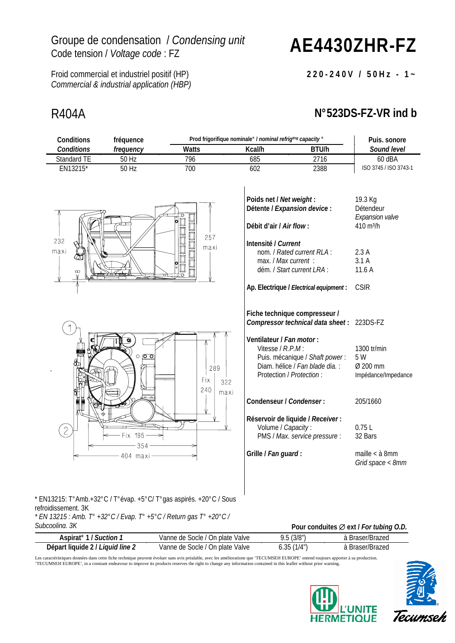## Groupe de condensation / *Condensing unit*

## Code tension / *Voltage code* : FZ **AE4430ZHR-FZ**

Froid commercial et industriel positif (HP) *Commercial & industrial application (HBP)*

## R404A **N°523DS-FZ-VR ind b**

**220-240V / 50Hz - 1~**

| Conditions                                                                                                                                                                          | fréquence               |                    |                                                                           | Prod frigorifique nominale° / nominal refrigting capacity °                                                                                                                 |                                                                          |  |
|-------------------------------------------------------------------------------------------------------------------------------------------------------------------------------------|-------------------------|--------------------|---------------------------------------------------------------------------|-----------------------------------------------------------------------------------------------------------------------------------------------------------------------------|--------------------------------------------------------------------------|--|
| <b>Conditions</b>                                                                                                                                                                   | frequency               | <b>Watts</b>       |                                                                           | Kcal/h<br>BTU/h                                                                                                                                                             |                                                                          |  |
| Standard TE                                                                                                                                                                         | 50 Hz                   | 796                | 685                                                                       | 2716                                                                                                                                                                        | 60 dBA                                                                   |  |
| EN13215*                                                                                                                                                                            | $50$ Hz                 | 700                | 602                                                                       | 2388                                                                                                                                                                        | ISO 3745 / ISO 3743-1                                                    |  |
| 232<br>maxi                                                                                                                                                                         |                         | 257<br>口口口<br>maxi | Poids net / Net weight:<br>Débit d'air / Air flow:<br>Intensité / Current | Détente / Expansion device :<br>nom. / Rated current RLA:                                                                                                                   | 19.3 Kg<br>Détendeur<br>Expansion valve<br>410 m <sup>3</sup> /h<br>2.3A |  |
|                                                                                                                                                                                     |                         |                    | max. / Max current :                                                      |                                                                                                                                                                             | 3.1A                                                                     |  |
| œ                                                                                                                                                                                   |                         | $\overline{\circ}$ |                                                                           | dém. / Start current LRA :                                                                                                                                                  | 11.6 A                                                                   |  |
|                                                                                                                                                                                     |                         |                    |                                                                           | Ap. Electrique / Electrical equipment:                                                                                                                                      | <b>CSIR</b>                                                              |  |
|                                                                                                                                                                                     | $\circ$ $\circ$ $\circ$ | 289                | Ventilateur / Fan motor:<br>Vitesse / R.P.M:                              | Fiche technique compresseur /<br>Compressor technical data sheet: 223DS-FZ<br>Puis. mécanique / Shaft power:<br>Diam. hélice / Fan blade dia. :<br>Protection / Protection: | 1300 tr/min<br>5 W<br>Ø 200 mm<br>Impédance/Impedance                    |  |
| $\overline{2}$                                                                                                                                                                      | Fix 195-                | Fix<br>240         | 322<br>maxi<br>Condenseur / Condenser:<br>Volume / Capacity:              | Réservoir de liquide / Receiver:<br>PMS / Max. service pressure:                                                                                                            | 205/1660<br>0.75L<br>32 Bars                                             |  |
|                                                                                                                                                                                     | 354<br>404 maxi         |                    | Grille / Fan guard:                                                       |                                                                                                                                                                             | maille $<$ $\grave{a}$ 8mm<br>Grid space < 8mm                           |  |
| * EN13215: T°Amb.+32°C / T°évap. +5°C/ T°gas aspirés. +20°C / Sous<br>refroidissement. 3K<br>$*$ EN 13215 : Amb. T° +32°C / Evap. T° +5°C / Return gas T° +20°C /<br>Subcoolina. 3K |                         |                    |                                                                           | Pour conduites Ø ext / For tubing O.D.<br>$\sqrt{2}$ $\sqrt{2}$                                                                                                             |                                                                          |  |

| Aspirat <sup>o</sup> 1 / <i>Suction 1</i> | Vanne de Socle / On plate Valve | 9.5(3/8")  | à Braser/Brazed |
|-------------------------------------------|---------------------------------|------------|-----------------|
| Départ liquide 2 / Liquid line 2          | Vanne de Socle / On plate Valve | 6.35(1/4") | ⊦Braser/Brazed  |

Les caractéristiques données dans cette fiche technique peuvent évoluer sans avis préalable, avec les améliorations que "TECUMSEH EUROPE' entend toujours apporter à sa production.<br>"TECUMSEH EUROPE', in a constant endeavour